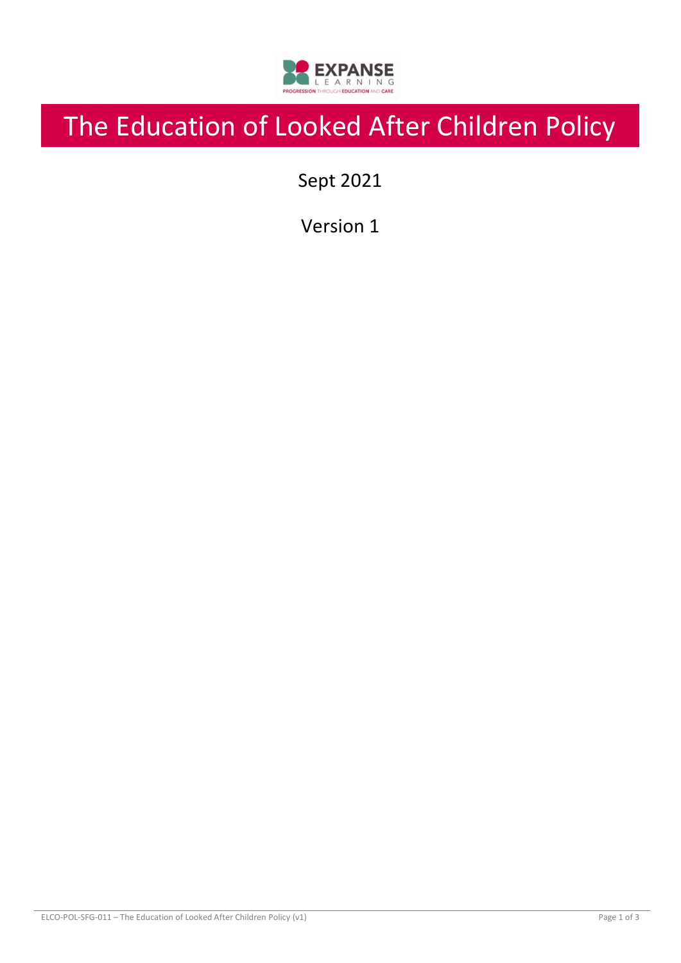

# The Education of Looked After Children Policy

Sept 2021

Version 1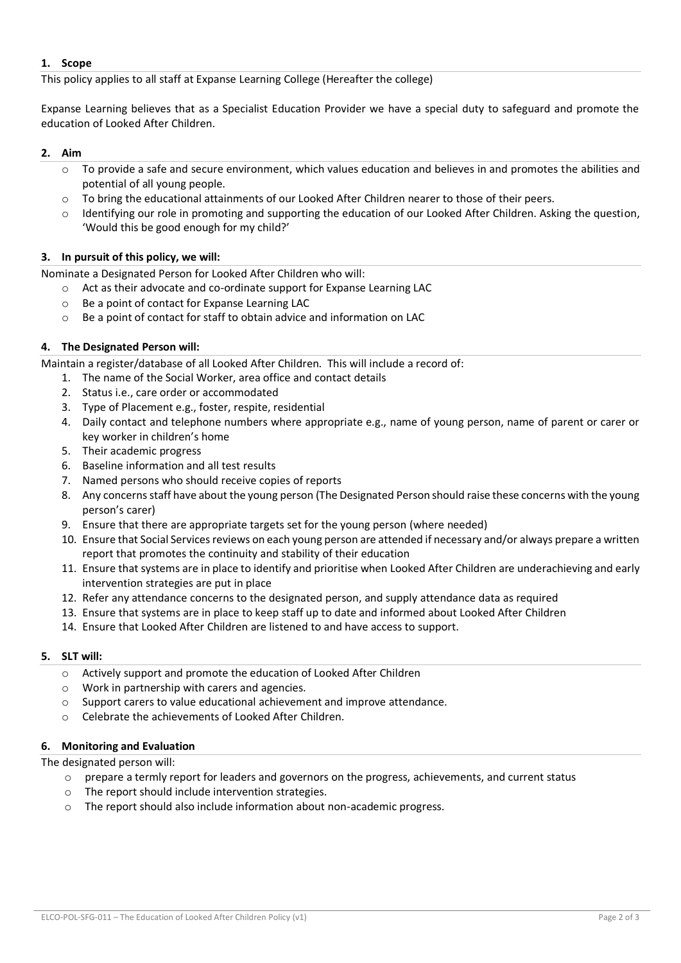# **1. Scope**

This policy applies to all staff at Expanse Learning College (Hereafter the college)

Expanse Learning believes that as a Specialist Education Provider we have a special duty to safeguard and promote the education of Looked After Children.

# **2. Aim**

- $\circ$  To provide a safe and secure environment, which values education and believes in and promotes the abilities and potential of all young people.
- o To bring the educational attainments of our Looked After Children nearer to those of their peers.
- o Identifying our role in promoting and supporting the education of our Looked After Children. Asking the question, 'Would this be good enough for my child?'

# **3. In pursuit of this policy, we will:**

Nominate a Designated Person for Looked After Children who will:

- o Act as their advocate and co-ordinate support for Expanse Learning LAC
- o Be a point of contact for Expanse Learning LAC
- o Be a point of contact for staff to obtain advice and information on LAC

## **4. The Designated Person will:**

Maintain a register/database of all Looked After Children. This will include a record of:

- 1. The name of the Social Worker, area office and contact details
- 2. Status i.e., care order or accommodated
- 3. Type of Placement e.g., foster, respite, residential
- 4. Daily contact and telephone numbers where appropriate e.g., name of young person, name of parent or carer or key worker in children's home
- 5. Their academic progress
- 6. Baseline information and all test results
- 7. Named persons who should receive copies of reports
- 8. Any concerns staff have about the young person (The Designated Person should raise these concerns with the young person's carer)
- 9. Ensure that there are appropriate targets set for the young person (where needed)
- 10. Ensure that Social Services reviews on each young person are attended if necessary and/or always prepare a written report that promotes the continuity and stability of their education
- 11. Ensure that systems are in place to identify and prioritise when Looked After Children are underachieving and early intervention strategies are put in place
- 12. Refer any attendance concerns to the designated person, and supply attendance data as required
- 13. Ensure that systems are in place to keep staff up to date and informed about Looked After Children
- 14. Ensure that Looked After Children are listened to and have access to support.

### **5. SLT will:**

- o Actively support and promote the education of Looked After Children
- o Work in partnership with carers and agencies.
- $\circ$  Support carers to value educational achievement and improve attendance.
- o Celebrate the achievements of Looked After Children.

### **6. Monitoring and Evaluation**

The designated person will:

- o prepare a termly report for leaders and governors on the progress, achievements, and current status
- o The report should include intervention strategies.
- o The report should also include information about non-academic progress.